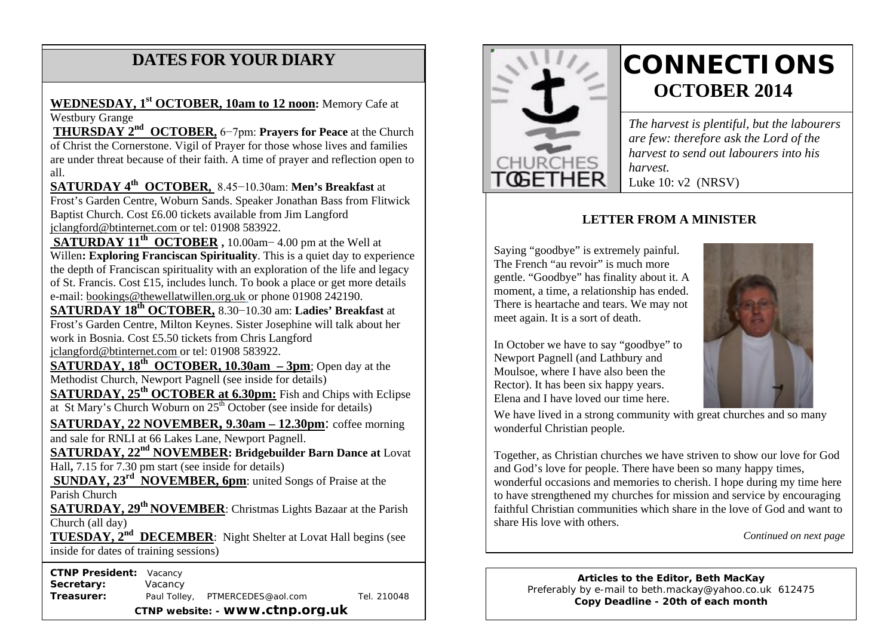# **DATES FOR YOUR DIARY**

**WEDNESDAY, 1st OCTOBER, 10am to 12 noon:** Memory Cafe at Westbury Grange

 are under threat because of their faith. A time of prayer and reflection open to **THURSDAY 2nd OCTOBER,** 6−7pm: **Prayers for Peace** at the Church of Christ the Cornerstone. Vigil of Prayer for those whose lives and families all.

**SATURDAY 4th OCTOBER,** 8.45−10.30am: **Men's Breakfast** at Frost's Garden Centre, Woburn Sands. Speaker Jonathan Bass from Flitwick Baptist Church. Cost £6.00 tickets available from Jim Langford jclangford@btinternet.com or tel: 01908 583922.

**SATURDAY 11th OCTOBER ,** 10.00am− 4.00 pm at the Well at Willen**: Exploring Franciscan Spirituality**. This is a quiet day to experience the depth of Franciscan spirituality with an exploration of the life and legacy of St. Francis. Cost £15, includes lunch. To book a place or get more details e-mail: bookings@thewellatwillen.org.uk or phone 01908 242190.

**SATURDAY 18th OCTOBER,** 8.30−10.30 am: **Ladies' Breakfast** at Frost's Garden Centre, Milton Keynes. Sister Josephine will talk about her work in Bosnia. Cost £5.50 tickets from Chris Langford jclangford@btinternet.com or tel: 01908 583922.

**SATURDAY, 18<sup>th</sup> OCTOBER, 10.30am – 3pm**; Open day at the Methodist Church, Newport Pagnell (see inside for details)

**SATURDAY, 25th OCTOBER at 6.30pm:** Fish and Chips with Eclipse at St Mary's Church Woburn on  $25<sup>th</sup>$  October (see inside for details)

**SATURDAY, 22 NOVEMBER, 9.30am – 12.30pm**: coffee morning and sale for RNLI at 66 Lakes Lane, Newport Pagnell.

**SATURDAY, 22nd NOVEMBER: Bridgebuilder Barn Dance at** Lovat Hall**,** 7.15 for 7.30 pm start (see inside for details)

**SUNDAY, 23<sup>rd</sup> NOVEMBER, 6pm**: united Songs of Praise at the Parish Church

**SATURDAY, 29th NOVEMBER**: Christmas Lights Bazaar at the Parish Church (all day)

**TUESDAY, 2nd DECEMBER**: Night Shelter at Lovat Hall begins (see inside for dates of training sessions)

 **CTNP President:** Vacancy

**Secretary:** Vacancy **Treasurer:** Paul Tolley, PTMERCEDES@aol.com Tel. 210048 **CTNP website: - www.ctnp.org.uk**



# **CONNECTIONS OCTOBER 2014**

*The harvest is plentiful, but the labourers are few: therefore ask the Lord of the harvest to send out labourers into his harvest.* Luke 10: v2 (NRSV)

### **LETTER FROM A MINISTER**

Saying "goodbye" is extremely painful. The French "au revoir" is much more gentle. "Goodbye" has finality about it. A moment, a time, a relationship has ended. There is heartache and tears. We may not meet again. It is a sort of death.

In October we have to say "goodbye" to Newport Pagnell (and Lathbury and Moulsoe, where I have also been the Rector). It has been six happy years. Elena and I have loved our time here.



We have lived in a strong community with great churches and so many wonderful Christian people.

Together, as Christian churches we have striven to show our love for God and God's love for people. There have been so many happy times, wonderful occasions and memories to cherish. I hope during my time here to have strengthened my churches for mission and service by encouraging faithful Christian communities which share in the love of God and want to share His love with others.

*Continued on next page*

**Articles to the Editor, Beth MacKay** Preferably by e-mail to beth.mackay@yahoo.co.uk 612475 **Copy Deadline - 20th of each month**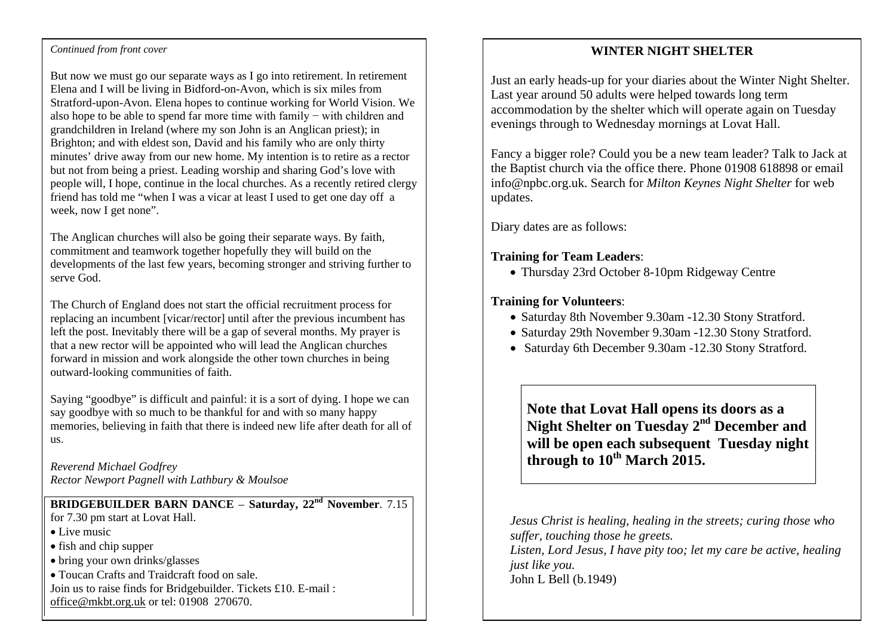#### **Continued from front cover**

But now we must go our separate ways as I go into retirement. In retirement Elena and I will be living in Bidford-on-Avon, which is six miles from Stratford-upon-Avon. Elena hopes to continue working for World Vision. We also hope to be able to spend far more time with family − with children and grandchildren in Ireland (where my son John is an Anglican priest); in Brighton; and with eldest son, David and his family who are only thirty minutes' drive away from our new home. My intention is to retire as a rector but not from being a priest. Leading worship and sharing God's love with people will, I hope, continue in the local churches. As a recently retired clergy friend has told me "when I was a vicar at least I used to get one day off a week, now I get none".

The Anglican churches will also be going their separate ways. By faith, commitment and teamwork together hopefully they will build on the developments of the last few years, becoming stronger and striving further to serve God.

The Church of England does not start the official recruitment process for replacing an incumbent [vicar/rector] until after the previous incumbent has left the post. Inevitably there will be a gap of several months. My prayer is that a new rector will be appointed who will lead the Anglican churches forward in mission and work alongside the other town churches in being outward-looking communities of faith.

Saying "goodbye" is difficult and painful: it is a sort of dying. I hope we can say goodbye with so much to be thankful for and with so many happy memories, believing in faith that there is indeed new life after death for all of us.

*Reverend Michael Godfrey Rector Newport Pagnell with Lathbury & Moulsoe*

# **BRIDGEBUILDER BARN DANCE** – **Saturday, 22nd November**. 7.15

- for 7.30 pm start at Lovat Hall.
- Live music
- fish and chip supper
- bring your own drinks/glasses
- Toucan Crafts and Traidcraft food on sale.
- Join us to raise finds for Bridgebuilder. Tickets £10. E-mail : office@mkbt.org.uk or tel: 01908 270670.

#### **WINTER NIGHT SHELTER**

Just an early heads-up for your diaries about the Winter Night Shelter. Last year around 50 adults were helped towards long term accommodation by the shelter which will operate again on Tuesday evenings through to Wednesday mornings at Lovat Hall.

Fancy a bigger role? Could you be a new team leader? Talk to Jack at the Baptist church via the office there. Phone 01908 618898 or email info@npbc.org.uk. Search for *Milton Keynes Night Shelter* for web updates.

Diary dates are as follows:

#### **Training for Team Leaders**:

• Thursday 23rd October 8-10pm Ridgeway Centre

#### **Training for Volunteers**:

- Saturday 8th November 9.30am -12.30 Stony Stratford.
- Saturday 29th November 9.30am -12.30 Stony Stratford.
- Saturday 6th December 9.30am -12.30 Stony Stratford.

**Note that Lovat Hall opens its doors as a Night Shelter on Tuesday 2nd December and will be open each subsequent Tuesday night through to 10th March 2015.**

*Jesus Christ is healing, healing in the streets; curing those who suffer, touching those he greets. Listen, Lord Jesus, I have pity too; let my care be active, healing just like you.* John L Bell (b.1949)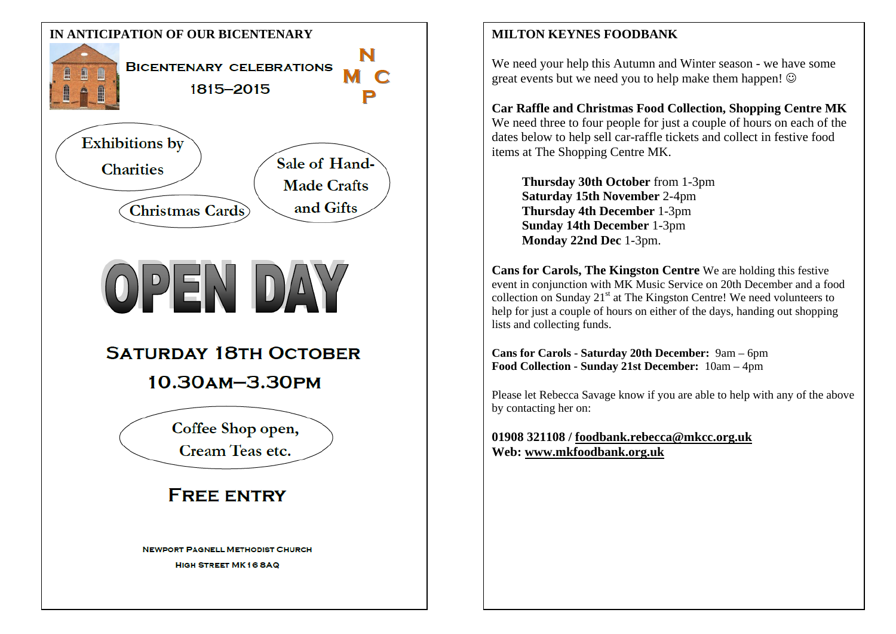

We need your help this Autumn and Winter season - we have some great events but we need you to help make them happen!

**Car Raffle and Christmas Food Collection, Shopping Centre MK** We need three to four people for just a couple of hours on each of the dates below to help sell car-raffle tickets and collect in festive food items at The Shopping Centre MK.

**Thursday 30th October** from 1-3pm **Saturday 15th November** 2-4pm **Thursday 4th December** 1-3pm **Sunday 14th December** 1-3pm **Monday 22nd Dec** 1-3pm.

**Cans for Carols, The Kingston Centre** We are holding this festive event in conjunction with MK Music Service on 20th December and a food collection on Sunday  $21<sup>st</sup>$  at The Kingston Centre! We need volunteers to help for just a couple of hours on either of the days, handing out shopping lists and collecting funds.

**Cans for Carols - Saturday 20th December:** 9am – 6pm **Food Collection - Sunday 21st December:** 10am – 4pm

Please let Rebecca Savage know if you are able to help with any of the above by contacting her on:

**01908 321108 / [foodbank.rebecca@mkcc.org.uk](mailto:foodbank.john@mkcc.org.uk) Web: [www.mkfoodbank.org.uk](http://www.mkfoodbank.org.uk/)**